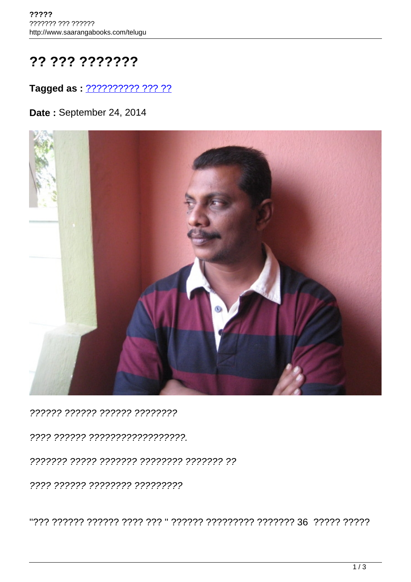## ?? ??? ???????

Tagged as: 2222222222222222

Date: September 24, 2014



?????? ?????? ?????? ????????

7777 777777 77777777777777777777

??????? ????? ??????? ???????? ??????? ??

???? ?????? ???????? ?????????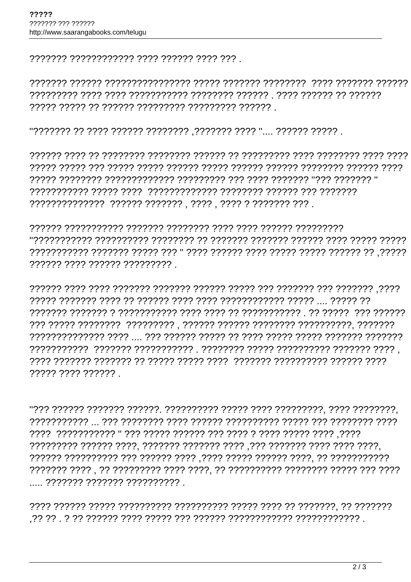7777777 7777777777777 7777 777777 7777 777

????? ???? ??????

7777777 7777777 7777777777